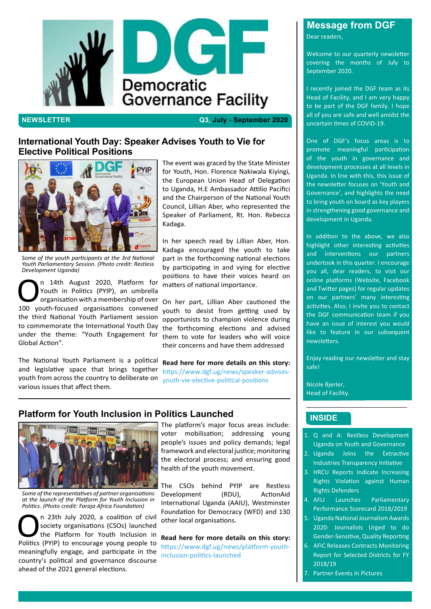## **INSIDE**

## **Message from DGF**



**NEWSLETTER Q3, July - September 2020**

Dear readers,

Welcome to our quarterly newsletter covering the months of July to September 2020.

I recently joined the DGF team as its Head of Facility, and I am very happy to be part of the DGF family. I hope all of you are safe and well amidst the uncertain times of COVID-19.

One of DGF's focus areas is to promote meaningful participation of the youth in governance and development processes at all levels in Uganda. In line with this, this issue of the newsletter focuses on 'Youth and Governance', and highlights the need to bring youth on board as key players in strengthening good governance and development in Uganda.

- Industries Transparency Initiative
- 3. HRCU Reports Indicate Increasing Rights Violation against Human Rights Defenders
- 4. AFLI Launches Parliamentary Performance Scorecard 2018/2019
- 5. Uganda National Journalism Awards 2020: Journalists Urged to do Gender-Sensitive, Quality Reporting 6. AFIC Releases Contracts Monitoring
	- Report for Selected Districts for FY 2018/19
- Partner Events In Pictures

In addition to the above, we also highlight other interesting activities and interventions our partners undertook in this quarter. I encourage you all, dear readers, to visit our online platforms (Website, Facebook and Twitter pages) for regular updates on our partners' many interesting activities. Also, I invite you to contact the DGF communication team if you have an issue of interest you would like to feature in our subsequent newsletters.

n 23th July 2020, a coalition of civil<br>society organisations (CSOs) launched<br>the Platform for Youth Inclusion in<br>Politics (PYIP) to encourage young people to society organisations (CSOs) launched the Platform for Youth Inclusion in Politics (PYIP) to encourage young people to meaningfully engage, and participate in the country's political and governance discourse ahead of the 2021 general elections.

Enjoy reading our newsletter and stay safe!

Nicole Bjerler, Head of Facility.

- 1. Q and A: Restless Development Uganda on Youth and Governance
- 2. Uganda Joins the Extractive



**On 14th August 2020, Platform for<br>
Youth in Politics (PYIP), an umbrella<br>
organisation with a membership of over<br>
100 youth-focused organisations convened** Youth in Politics (PYIP), an umbrella organisation with a membership of over 100 youth-focused organisations convened the third National Youth Parliament session to commemorate the International Youth Day under the theme: "Youth Engagement for Global Action".

## **Platform for Youth Inclusion in Politics Launched**



The platform's major focus areas include: voter mobilisation; addressing young people's issues and policy demands; legal framework and electoral justice; monitoring the electoral process; and ensuring good health of the youth movement.

The CSOs behind PYIP are Restless Development (RDU), ActionAid International Uganda (AAIU), Westminster Foundation for Democracy (WFD) and 130 other local organisations.

**Read here for more details on this story:**  https://www.dgf.ug/news/platform-youthinclusion-politics-launched

## **International Youth Day: Speaker Advises Youth to Vie for Elective Political Positions**



*Some of the youth participants at the 3rd National Youth Parliamentary Session. (Photo credit: Restless Development Uganda)*

The National Youth Parliament is a political and legislative space that brings together youth from across the country to deliberate on various issues that affect them.

The event was graced by the State Minister for Youth, Hon. Florence Nakiwala Kiyingi, the European Union Head of Delegation to Uganda, H.E Ambassador Attilio Pacifici and the Chairperson of the National Youth Council, Lillian Aber, who represented the Speaker of Parliament, Rt. Hon. Rebecca Kadaga.

In her speech read by Lillian Aber, Hon. Kadaga encouraged the youth to take part in the forthcoming national elections by participating in and vying for elective positions to have their voices heard on matters of national importance.

On her part, Lillian Aber cautioned the youth to desist from getting used by opportunists to champion violence during the forthcoming elections and advised them to vote for leaders who will voice their concerns and have them addressed

**Read here for more details on this story:**  https://www.dgf.ug/news/speaker-advisesyouth-vie-elective-political-positions

*Some of the representatives of partner organisations at the launch of the Platform for Youth Inclusion in Politics. (Photo credit: Faraja Africa Foundation)*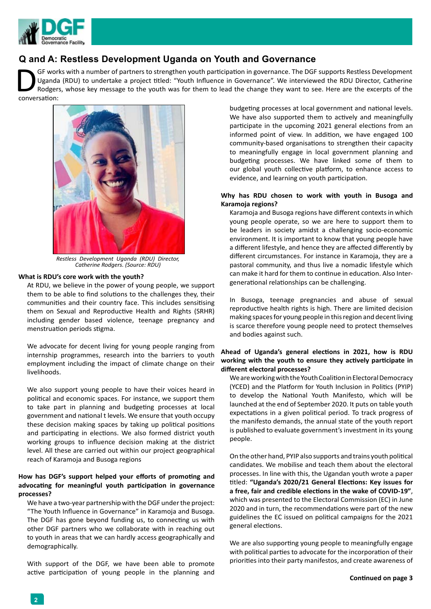



## **Q and A: Restless Development Uganda on Youth and Governance**

#### **What is RDU's core work with the youth?**

At RDU, we believe in the power of young people, we support them to be able to find solutions to the challenges they, their communities and their country face. This includes sensitising them on Sexual and Reproductive Health and Rights (SRHR) including gender based violence, teenage pregnancy and menstruation periods stigma.

We advocate for decent living for young people ranging from internship programmes, research into the barriers to youth employment including the impact of climate change on their livelihoods.

We also support young people to have their voices heard in political and economic spaces. For instance, we support them to take part in planning and budgeting processes at local government and national t levels. We ensure that youth occupy these decision making spaces by taking up political positions and participating in elections. We also formed district youth working groups to influence decision making at the district level. All these are carried out within our project geographical reach of Karamoja and Busoga regions

**How has DGF's support helped your efforts of promoting and advocating for meaningful youth participation in governance processes?**

We have a two-year partnership with the DGF under the project: "The Youth Influence in Governance" in Karamoja and Busoga. The DGF has gone beyond funding us, to connecting us with other DGF partners who we collaborate with in reaching out to youth in areas that we can hardly access geographically and demographically.

With support of the DGF, we have been able to promote active participation of young people in the planning and budgeting processes at local government and national levels. We have also supported them to actively and meaningfully participate in the upcoming 2021 general elections from an informed point of view. In addition, we have engaged 100 community-based organisations to strengthen their capacity to meaningfully engage in local government planning and budgeting processes. We have linked some of them to our global youth collective platform, to enhance access to evidence, and learning on youth participation.

### **Why has RDU chosen to work with youth in Busoga and Karamoja regions?**

GF works with a number of partners to strengthen youth participation in governance. The DGF supports Restless Development Uganda (RDU) to undertake a project titled: "Youth Influence in Governance". We interviewed the RDU Director, Catherine Rodgers, whose key message to the youth was for them to lead the change they want to see. Here are the excerpts of the conversation:

> Karamoja and Busoga regions have different contexts in which young people operate, so we are here to support them to be leaders in society amidst a challenging socio-economic environment. It is important to know that young people have a different lifestyle, and hence they are affected differently by different circumstances. For instance in Karamoja, they are a pastoral community, and thus live a nomadic lifestyle which can make it hard for them to continue in education. Also Intergenerational relationships can be challenging.

> In Busoga, teenage pregnancies and abuse of sexual reproductive health rights is high. There are limited decision making spaces for young people in this region and decent living is scarce therefore young people need to protect themselves and bodies against such.

#### **Ahead of Uganda's general elections in 2021, how is RDU working with the youth to ensure they actively participate in different electoral processes?**

We are working with the Youth Coalition in Electoral Democracy (YCED) and the Platform for Youth Inclusion in Politics (PYIP) to develop the National Youth Manifesto, which will be launched at the end of September 2020. It puts on table youth expectations in a given political period. To track progress of the manifesto demands, the annual state of the youth report is published to evaluate government's investment in its young people.

On the other hand, PYIP also supports and trains youth political

candidates. We mobilise and teach them about the electoral processes. In line with this, the Ugandan youth wrote a paper titled: **"Uganda's 2020/21 General Elections: Key issues for a free, fair and credible elections in the wake of COVID-19"**, which was presented to the Electoral Commission (EC) in June 2020 and in turn, the recommendations were part of the new guidelines the EC issued on political campaigns for the 2021 general elections.

We are also supporting young people to meaningfully engage with political parties to advocate for the incorporation of their priorities into their party manifestos, and create awareness of

**Continued on page 3**



*Restless Development Uganda (RDU) Director, Catherine Rodgers. (Source: RDU)*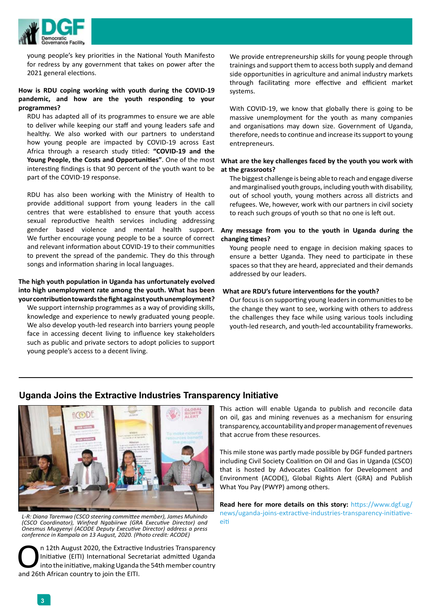

young people's key priorities in the National Youth Manifesto for redress by any government that takes on power after the 2021 general elections.

### **How is RDU coping working with youth during the COVID-19 pandemic, and how are the youth responding to your programmes?**

RDU has adapted all of its programmes to ensure we are able to deliver while keeping our staff and young leaders safe and healthy. We also worked with our partners to understand how young people are impacted by COVID-19 across East Africa through a research study titled: **"COVID-19 and the Young People, the Costs and Opportunities"**. One of the most interesting findings is that 90 percent of the youth want to be part of the COVID-19 response.

RDU has also been working with the Ministry of Health to provide additional support from young leaders in the call centres that were established to ensure that youth access sexual reproductive health services including addressing gender based violence and mental health support. We further encourage young people to be a source of correct and relevant information about COVID-19 to their communities to prevent the spread of the pandemic. They do this through songs and information sharing in local languages.

#### **The high youth population in Uganda has unfortunately evolved into high unemployment rate among the youth. What has been your contribution towards the fight against youth unemployment?**

We support internship programmes as a way of providing skills, knowledge and experience to newly graduated young people. We also develop youth-led research into barriers young people face in accessing decent living to influence key stakeholders such as public and private sectors to adopt policies to support young people's access to a decent living.

n 12th August 2020, the Extractive Industries Transparency<br>Initiative (EITI) International Secretariat admitted Uganda<br>into the initiative, making Uganda the 54th member country<br>and 26th African country to join the EITI. Initiative (EITI) International Secretariat admitted Uganda into the initiative, making Uganda the 54th member country and 26th African country to join the EITI.

We provide entrepreneurship skills for young people through trainings and support them to access both supply and demand side opportunities in agriculture and animal industry markets through facilitating more effective and efficient market systems.

With COVID-19, we know that globally there is going to be massive unemployment for the youth as many companies and organisations may down size. Government of Uganda, therefore, needs to continue and increase its support to young entrepreneurs.

L-R: Diana Taremwa (CSCO steering committee member), James Muhindo *and stes*<br>(CSCO Coordinator), Winfred Ngabiirwe (GRA Executive Director) and a [eiti](https://www.dgf.ug/news/uganda-joins-extractive-industries-transparency-initiative-eiti) *Onesmus Mugyenyi (ACODE Deputy Executive Director) address a press conference in Kampala on 13 August, 2020. (Photo credit: ACODE)*

#### **What are the key challenges faced by the youth you work with at the grassroots?**

The biggest challenge is being able to reach and engage diverse and marginalised youth groups, including youth with disability, out of school youth, young mothers across all districts and refugees. We, however, work with our partners in civil society to reach such groups of youth so that no one is left out.

#### **Any message from you to the youth in Uganda during the changing times?**

Young people need to engage in decision making spaces to ensure a better Uganda. They need to participate in these spaces so that they are heard, appreciated and their demands addressed by our leaders.

#### **What are RDU's future interventions for the youth?**

Our focus is on supporting young leaders in communities to be the change they want to see, working with others to address the challenges they face while using various tools including youth-led research, and youth-led accountability frameworks.

## **Uganda Joins the Extractive Industries Transparency Initiative**



This action will enable Uganda to publish and reconcile data on oil, gas and mining revenues as a mechanism for ensuring transparency, accountability and proper management of revenues that accrue from these resources.

This mile stone was partly made possible by DGF funded partners including Civil Society Coalition on Oil and Gas in Uganda (CSCO) that is hosted by Advocates Coalition for Development and Environment (ACODE), Global Rights Alert (GRA) and Publish What You Pay (PWYP) among others.

**Read here for more details on this story:** [https://www.dgf.ug/](https://www.dgf.ug/news/uganda-joins-extractive-industries-transparency-initiative-eiti) [news/uganda-joins-extractive-industries-transparency-initiative-](https://www.dgf.ug/news/uganda-joins-extractive-industries-transparency-initiative-eiti)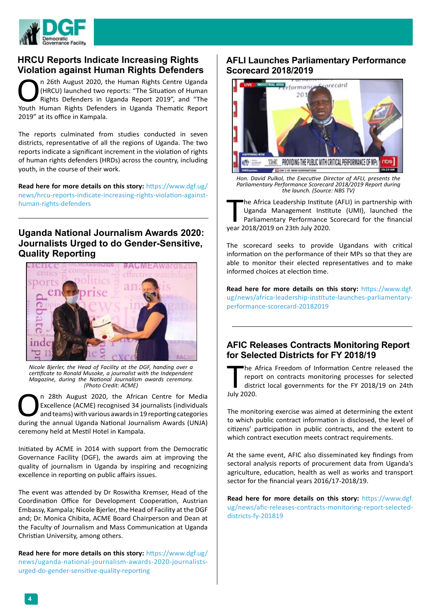

## **HRCU Reports Indicate Increasing Rights Violation against Human Rights Defenders**

The Africa Leadership Institute<br>Uganda Management Instit<br>Parliamentary Performance<br>year 2018/2019 on 23th July 2020. he Africa Leadership Institute (AFLI) in partnership with Uganda Management Institute (UMI), launched the Parliamentary Performance Scorecard for the financial

The scorecard seeks to provide Ugandans with critical information on the performance of their MPs so that they are able to monitor their elected representatives and to make informed choices at election time.

n 26th August 2020, the Human Rights Centre Uganda<br>
(HRCU) launched two reports: "The Situation of Human<br>
Rights Defenders in Uganda Report 2019", and "The<br>
Youth Human Rights Defenders in Uganda Thematic Report (HRCU) launched two reports: "The Situation of Human Rights Defenders in Uganda Report 2019", and "The Youth Human Rights Defenders in Uganda Thematic Report 2019" at its office in Kampala.

> **Read here for more details on this story:** [https://www.dgf.](https://www.dgf.ug/news/africa-leadership-institute-launches-parliamentary-performance-scorecard-20182019) [ug/news/africa-leadership-institute-launches-parliamentary](https://www.dgf.ug/news/africa-leadership-institute-launches-parliamentary-performance-scorecard-20182019)[performance-scorecard-20182019](https://www.dgf.ug/news/africa-leadership-institute-launches-parliamentary-performance-scorecard-20182019)

## **AFLI Launches Parliamentary Performance Scorecard 2018/2019**

he A<br>
repo<br>
distri<br>
July 2020. he Africa Freedom of Information Centre released the report on contracts monitoring processes for selected district local governments for the FY 2018/19 on 24th

The reports culminated from studies conducted in seven districts, representative of all the regions of Uganda. The two reports indicate a significant increment in the violation of rights of human rights defenders (HRDs) across the country, including youth, in the course of their work.

n 28th August 2020, the African Centre for Media<br>Excellence (ACME) recognised 34 journalists (individuals<br>and teams) with various awards in 19 reporting categories<br>during the annual Uganda National Journalism Awards (UNJA) Excellence (ACME) recognised 34 journalists (individuals and teams) with various awards in 19 reporting categories during the annual Uganda National Journalism Awards (UNJA) ceremony held at Mestil Hotel in Kampala.

**Read here for more details on this story:** [https://www.dgf.ug/](https://www.dgf.ug/news/hrcu-reports-indicate-increasing-rights-violation-against-human-rights-defenders ) [news/hrcu-reports-indicate-increasing-rights-violation-against](https://www.dgf.ug/news/hrcu-reports-indicate-increasing-rights-violation-against-human-rights-defenders )[human-rights-defenders](https://www.dgf.ug/news/hrcu-reports-indicate-increasing-rights-violation-against-human-rights-defenders ) 



*Hon. David Pulkol, the Executive Director of AFLI, presents the Parliamentary Performance Scorecard 2018/2019 Report during the launch. (Source: NBS TV)*

The monitoring exercise was aimed at determining the extent to which public contract information is disclosed, the level of citizens' participation in public contracts, and the extent to which contract execution meets contract requirements.

At the same event, AFIC also disseminated key findings from sectoral analysis reports of procurement data from Uganda's agriculture, education, health as well as works and transport sector for the financial years 2016/17-2018/19.

**Read here for more details on this story:** [https://www.dgf.](https://www.dgf.ug/news/afic-releases-contracts-monitoring-report-selected-districts-fy-201819) [ug/news/afic-releases-contracts-monitoring-report-selected](https://www.dgf.ug/news/afic-releases-contracts-monitoring-report-selected-districts-fy-201819)[districts-fy-201819](https://www.dgf.ug/news/afic-releases-contracts-monitoring-report-selected-districts-fy-201819)

Initiated by ACME in 2014 with support from the Democratic Governance Facility (DGF), the awards aim at improving the quality of journalism in Uganda by inspiring and recognizing excellence in reporting on public affairs issues.

The event was attended by Dr Roswitha Kremser, Head of the Coordination Office for Development Cooperation, Austrian Embassy, Kampala; Nicole Bjerler, the Head of Facility at the DGF and; Dr. Monica Chibita, ACME Board Chairperson and Dean at the Faculty of Journalism and Mass Communication at Uganda Christian University, among others.

**Read here for more details on this story:** [https://www.dgf.ug/](https://www.dgf.ug/news/uganda-national-journalism-awards-2020-journalists-urged-do-gender-sensitive-quality-reporting) [news/uganda-national-journalism-awards-2020-journalists](https://www.dgf.ug/news/uganda-national-journalism-awards-2020-journalists-urged-do-gender-sensitive-quality-reporting)[urged-do-gender-sensitive-quality-reporting](https://www.dgf.ug/news/uganda-national-journalism-awards-2020-journalists-urged-do-gender-sensitive-quality-reporting)

## **Uganda National Journalism Awards 2020: Journalists Urged to do Gender-Sensitive, Quality Reporting**



*Nicole Bjerler, the Head of Facility at the DGF, handing over a certificate to Ronald Musoke, a journalist with the Independent Magazine, during the National Journalism awards ceremony. (Photo Credit: ACME)*

## **AFIC Releases Contracts Monitoring Report for Selected Districts for FY 2018/19**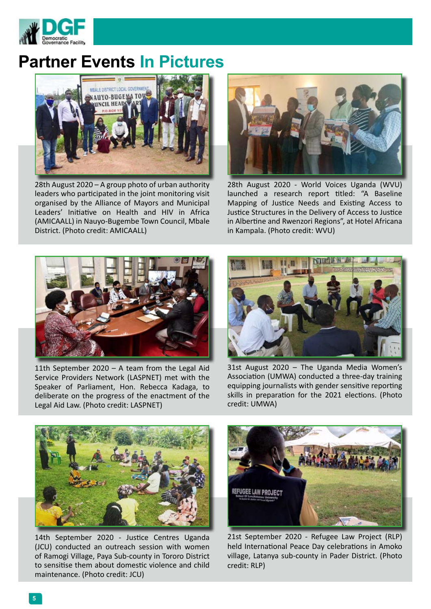

# **Partner Events In Pictures**



11th September 2020 – A team from the Legal Aid Service Providers Network (LASPNET) met with the Speaker of Parliament, Hon. Rebecca Kadaga, to deliberate on the progress of the enactment of the Legal Aid Law. (Photo credit: LASPNET)



31st August 2020 – The Uganda Media Women's Association (UMWA) conducted a three-day training equipping journalists with gender sensitive reporting skills in preparation for the 2021 elections. (Photo credit: UMWA)



![](_page_4_Picture_11.jpeg)

![](_page_4_Picture_2.jpeg)

28th August 2020 – A group photo of urban authority leaders who participated in the joint monitoring visit organised by the Alliance of Mayors and Municipal Leaders' Initiative on Health and HIV in Africa (AMICAALL) in Nauyo-Bugembe Town Council, Mbale District. (Photo credit: AMICAALL)

![](_page_4_Picture_4.jpeg)

28th August 2020 - World Voices Uganda (WVU) launched a research report titled: "A Baseline Mapping of Justice Needs and Existing Access to Justice Structures in the Delivery of Access to Justice in Albertine and Rwenzori Regions", at Hotel Africana in Kampala. (Photo credit: WVU)

14th September 2020 - Justice Centres Uganda (JCU) conducted an outreach session with women of Ramogi Village, Paya Sub-county in Tororo District to sensitise them about domestic violence and child maintenance. (Photo credit: JCU)

21st September 2020 - Refugee Law Project (RLP) held International Peace Day celebrations in Amoko village, Latanya sub-county in Pader District. (Photo credit: RLP)